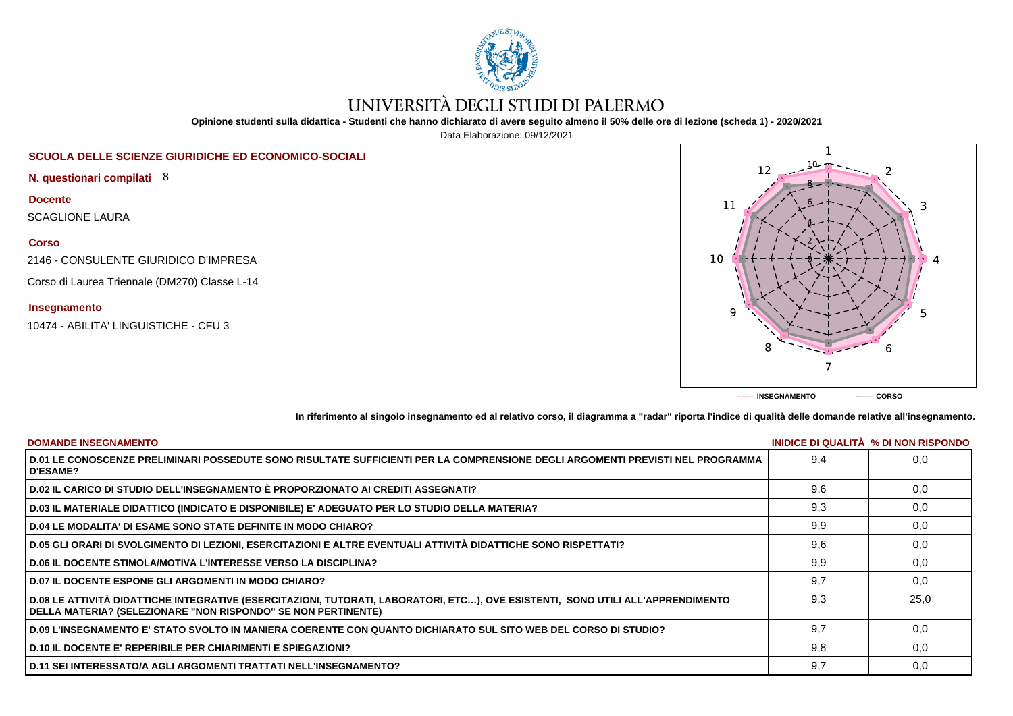

# UNIVERSITÀ DEGLI STUDI DI PALERMO

**Opinione studenti sulla didattica - Studenti che hanno dichiarato di avere seguito almeno il 50% delle ore di lezione (scheda 1) - 2020/2021**

Data Elaborazione: 09/12/2021

# **SCUOLA DELLE SCIENZE GIURIDICHE ED ECONOMICO-SOCIALI**

**N. questionari compilati** 8

**Docente**

SCAGLIONE LAURA

**Corso**

2146 - CONSULENTE GIURIDICO D'IMPRESA

Corso di Laurea Triennale (DM270) Classe L-14

## **Insegnamento**

10474 - ABILITA' LINGUISTICHE - CFU 3



**In riferimento al singolo insegnamento ed al relativo corso, il diagramma a "radar" riporta l'indice di qualità delle domande relative all'insegnamento.**

| <b>DOMANDE INSEGNAMENTO</b>                                                                                                                                                                             |     | INIDICE DI QUALITA % DI NON RISPONDO |
|---------------------------------------------------------------------------------------------------------------------------------------------------------------------------------------------------------|-----|--------------------------------------|
| D.01 LE CONOSCENZE PRELIMINARI POSSEDUTE SONO RISULTATE SUFFICIENTI PER LA COMPRENSIONE DEGLI ARGOMENTI PREVISTI NEL PROGRAMMA<br><b>D'ESAME?</b>                                                       | 9.4 | 0.0                                  |
| D.02 IL CARICO DI STUDIO DELL'INSEGNAMENTO È PROPORZIONATO AI CREDITI ASSEGNATI?                                                                                                                        | 9.6 | 0.0                                  |
| D.03 IL MATERIALE DIDATTICO (INDICATO E DISPONIBILE) E' ADEGUATO PER LO STUDIO DELLA MATERIA?                                                                                                           | 9,3 | 0,0                                  |
| D.04 LE MODALITA' DI ESAME SONO STATE DEFINITE IN MODO CHIARO?                                                                                                                                          | 9,9 | 0,0                                  |
| D.05 GLI ORARI DI SVOLGIMENTO DI LEZIONI, ESERCITAZIONI E ALTRE EVENTUALI ATTIVITÀ DIDATTICHE SONO RISPETTATI?                                                                                          | 9,6 | 0,0                                  |
| <b>D.06 IL DOCENTE STIMOLA/MOTIVA L'INTERESSE VERSO LA DISCIPLINA?</b>                                                                                                                                  | 9.9 | 0.0                                  |
| <b>D.07 IL DOCENTE ESPONE GLI ARGOMENTI IN MODO CHIARO?</b>                                                                                                                                             | 9.7 | 0.0                                  |
| D.08 LE ATTIVITÀ DIDATTICHE INTEGRATIVE (ESERCITAZIONI, TUTORATI, LABORATORI, ETC), OVE ESISTENTI, SONO UTILI ALL'APPRENDIMENTO<br><b>DELLA MATERIA? (SELEZIONARE "NON RISPONDO" SE NON PERTINENTE)</b> | 9.3 | 25.0                                 |
| D.09 L'INSEGNAMENTO E' STATO SVOLTO IN MANIERA COERENTE CON QUANTO DICHIARATO SUL SITO WEB DEL CORSO DI STUDIO?                                                                                         | 9.7 | 0.0                                  |
| D.10 IL DOCENTE E' REPERIBILE PER CHIARIMENTI E SPIEGAZIONI?                                                                                                                                            | 9.8 | 0.0                                  |
| D.11 SEI INTERESSATO/A AGLI ARGOMENTI TRATTATI NELL'INSEGNAMENTO?                                                                                                                                       | 9,7 | 0,0                                  |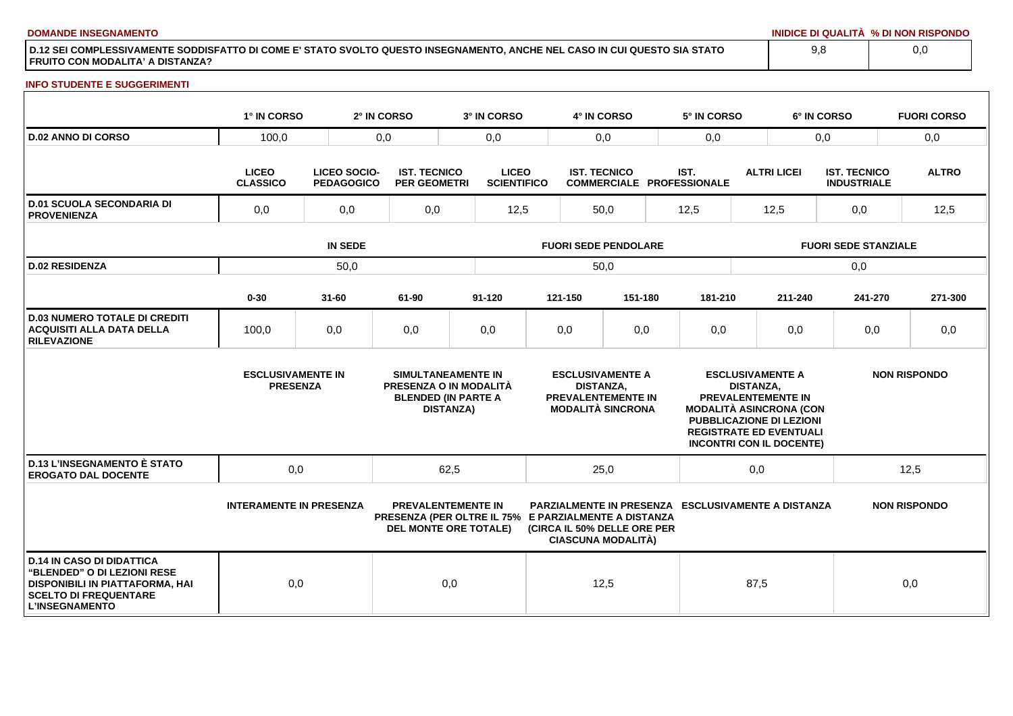**DOMANDE INSEGNAMENTO INIDICE DI QUALITÀ % DI NON RISPONDO**

**D.12 SEI COMPLESSIVAMENTE SODDISFATTO DI COME E' STATO SVOLTO QUESTO INSEGNAMENTO, ANCHE NEL CASO IN CUI QUESTO SIA STATO FRUITO CON MODALITA' A DISTANZA?**

### **INFO STUDENTE E SUGGERIMENTI**

|                                                                                                                                                                    | 1° IN CORSO                                                                 |           | 2° IN CORSO                                          | 3° IN CORSO                                                                                           |                             | 4° IN CORSO                                                                                          |         |      | 5° IN CORSO                                               |                             |                                                                                                                                                | 6° IN CORSO                               |      | <b>FUORI CORSO</b>  |
|--------------------------------------------------------------------------------------------------------------------------------------------------------------------|-----------------------------------------------------------------------------|-----------|------------------------------------------------------|-------------------------------------------------------------------------------------------------------|-----------------------------|------------------------------------------------------------------------------------------------------|---------|------|-----------------------------------------------------------|-----------------------------|------------------------------------------------------------------------------------------------------------------------------------------------|-------------------------------------------|------|---------------------|
| <b>D.02 ANNO DI CORSO</b>                                                                                                                                          | 100,0<br>0,0                                                                |           |                                                      | 0,0                                                                                                   |                             | 0,0                                                                                                  |         | 0,0  |                                                           | 0,0                         |                                                                                                                                                |                                           | 0,0  |                     |
|                                                                                                                                                                    | <b>LICEO</b><br><b>LICEO SOCIO-</b><br><b>CLASSICO</b><br><b>PEDAGOGICO</b> |           | <b>IST. TECNICO</b><br><b>PER GEOMETRI</b>           | <b>LICEO</b><br><b>SCIENTIFICO</b>                                                                    |                             | <b>IST. TECNICO</b><br><b>COMMERCIALE PROFESSIONALE</b>                                              |         | IST. |                                                           | <b>ALTRI LICEI</b>          |                                                                                                                                                | <b>IST. TECNICO</b><br><b>INDUSTRIALE</b> |      | <b>ALTRO</b>        |
| <b>D.01 SCUOLA SECONDARIA DI</b><br><b>PROVENIENZA</b>                                                                                                             | 0,0<br>0,0                                                                  |           | 0,0                                                  |                                                                                                       | 12,5<br>50,0                |                                                                                                      | 12,5    |      | 12,5                                                      |                             | 0,0                                                                                                                                            |                                           | 12,5 |                     |
|                                                                                                                                                                    | <b>IN SEDE</b>                                                              |           |                                                      |                                                                                                       | <b>FUORI SEDE PENDOLARE</b> |                                                                                                      |         |      |                                                           | <b>FUORI SEDE STANZIALE</b> |                                                                                                                                                |                                           |      |                     |
| <b>D.02 RESIDENZA</b>                                                                                                                                              |                                                                             | 50,0      |                                                      |                                                                                                       |                             | 50,0                                                                                                 |         |      |                                                           |                             |                                                                                                                                                | 0,0                                       |      |                     |
|                                                                                                                                                                    | $0 - 30$                                                                    | $31 - 60$ | 61-90                                                | 91-120                                                                                                |                             | 121-150                                                                                              | 151-180 |      | 181-210                                                   |                             | 211-240                                                                                                                                        | 241-270                                   |      | 271-300             |
| <b>D.03 NUMERO TOTALE DI CREDITI</b><br><b>ACQUISITI ALLA DATA DELLA</b><br><b>RILEVAZIONE</b>                                                                     | 100,0                                                                       | 0,0       | 0,0                                                  | 0,0                                                                                                   |                             | 0,0                                                                                                  | 0,0     |      | 0,0                                                       |                             | 0,0                                                                                                                                            | 0,0                                       |      | 0,0                 |
|                                                                                                                                                                    | <b>ESCLUSIVAMENTE IN</b><br><b>PRESENZA</b>                                 |           |                                                      | <b>SIMULTANEAMENTE IN</b><br>PRESENZA O IN MODALITÀ<br><b>BLENDED (IN PARTE A</b><br><b>DISTANZA)</b> |                             | <b>ESCLUSIVAMENTE A</b><br><b>DISTANZA.</b><br><b>PREVALENTEMENTE IN</b><br><b>MODALITÀ SINCRONA</b> |         |      | <b>MODALITÀ ASINCRONA (CON</b>                            | <b>DISTANZA.</b>            | <b>ESCLUSIVAMENTE A</b><br>PREVALENTEMENTE IN<br>PUBBLICAZIONE DI LEZIONI<br><b>REGISTRATE ED EVENTUALI</b><br><b>INCONTRI CON IL DOCENTE)</b> |                                           |      | <b>NON RISPONDO</b> |
| <b>D.13 L'INSEGNAMENTO È STATO</b><br><b>EROGATO DAL DOCENTE</b>                                                                                                   | 0,0                                                                         |           |                                                      | 62,5                                                                                                  |                             | 25,0                                                                                                 |         |      |                                                           | 0,0                         |                                                                                                                                                |                                           | 12,5 |                     |
|                                                                                                                                                                    | <b>INTERAMENTE IN PRESENZA</b>                                              |           | PRESENZA (PER OLTRE IL 75% E PARZIALMENTE A DISTANZA | <b>PREVALENTEMENTE IN</b><br><b>DEL MONTE ORE TOTALE)</b>                                             |                             | (CIRCA IL 50% DELLE ORE PER<br><b>CIASCUNA MODALITÀ)</b>                                             |         |      | <b>PARZIALMENTE IN PRESENZA ESCLUSIVAMENTE A DISTANZA</b> |                             |                                                                                                                                                |                                           |      | <b>NON RISPONDO</b> |
| <b>D.14 IN CASO DI DIDATTICA</b><br><b>"BLENDED" O DI LEZIONI RESE</b><br>DISPONIBILI IN PIATTAFORMA, HAI<br><b>SCELTO DI FREQUENTARE</b><br><b>L'INSEGNAMENTO</b> | 0,0                                                                         |           |                                                      | 0,0                                                                                                   |                             | 12,5                                                                                                 |         |      |                                                           | 87,5                        |                                                                                                                                                |                                           | 0,0  |                     |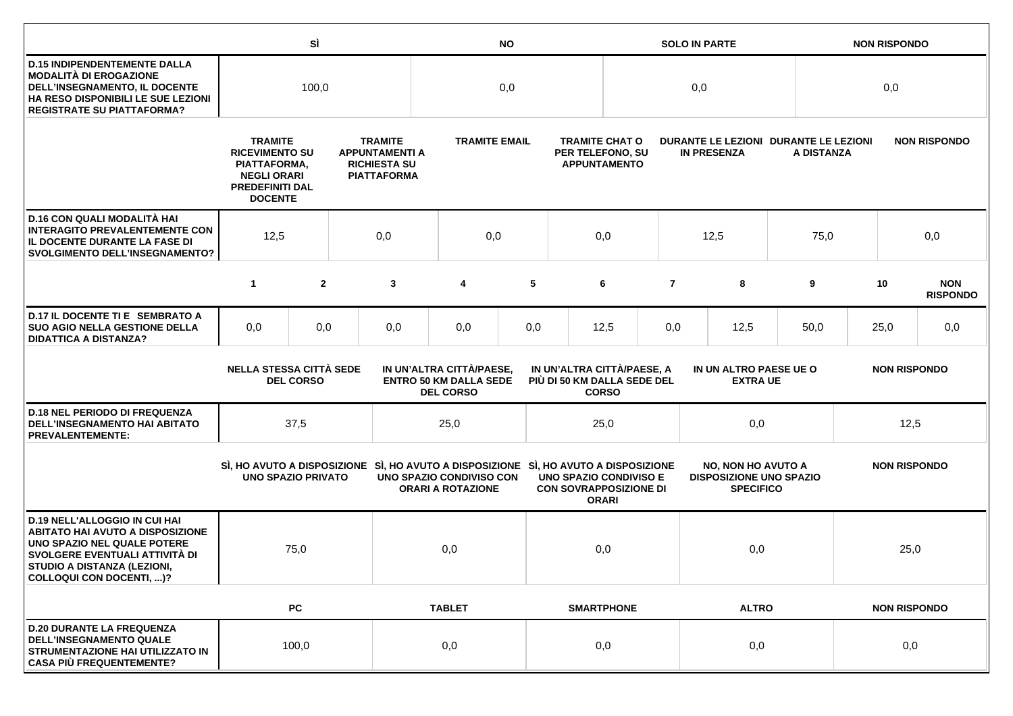|                                                                                                                                                                                                             |                                                                                                                           | SÌ               |     | <b>NO</b>                                                                                                       |                                                                               |     |                                                                  | <b>SOLO IN PARTE</b> |                |                                                                                 |              | <b>NON RISPONDO</b>                                 |                     |                               |
|-------------------------------------------------------------------------------------------------------------------------------------------------------------------------------------------------------------|---------------------------------------------------------------------------------------------------------------------------|------------------|-----|-----------------------------------------------------------------------------------------------------------------|-------------------------------------------------------------------------------|-----|------------------------------------------------------------------|----------------------|----------------|---------------------------------------------------------------------------------|--------------|-----------------------------------------------------|---------------------|-------------------------------|
| <b>D.15 INDIPENDENTEMENTE DALLA</b><br>MODALITÀ DI EROGAZIONE<br>DELL'INSEGNAMENTO, IL DOCENTE<br>HA RESO DISPONIBILI LE SUE LEZIONI<br><b>REGISTRATE SU PIATTAFORMA?</b>                                   | 100,0                                                                                                                     |                  | 0,0 |                                                                                                                 |                                                                               |     | 0,0                                                              |                      |                | 0,0                                                                             |              |                                                     |                     |                               |
|                                                                                                                                                                                                             | <b>TRAMITE</b><br><b>RICEVIMENTO SU</b><br>PIATTAFORMA,<br><b>NEGLI ORARI</b><br><b>PREDEFINITI DAL</b><br><b>DOCENTE</b> |                  |     | <b>TRAMITE</b><br><b>TRAMITE EMAIL</b><br><b>APPUNTAMENTI A</b><br><b>RICHIESTA SU</b><br><b>PIATTAFORMA</b>    |                                                                               |     | <b>TRAMITE CHAT O</b><br>PER TELEFONO, SU<br><b>APPUNTAMENTO</b> |                      |                | <b>IN PRESENZA</b>                                                              |              | DURANTE LE LEZIONI DURANTE LE LEZIONI<br>A DISTANZA |                     | <b>NON RISPONDO</b>           |
| D.16 CON QUALI MODALITÀ HAI<br><b>INTERAGITO PREVALENTEMENTE CON</b><br>IL DOCENTE DURANTE LA FASE DI<br><b>SVOLGIMENTO DELL'INSEGNAMENTO?</b>                                                              | 12,5<br>0,0                                                                                                               |                  |     | 0,0                                                                                                             |                                                                               | 0,0 |                                                                  |                      | 12,5           | 75,0                                                                            |              | 0,0                                                 |                     |                               |
|                                                                                                                                                                                                             | $\mathbf{1}$                                                                                                              | $\overline{2}$   |     | 3                                                                                                               | 4                                                                             | 5   |                                                                  | 6                    | $\overline{7}$ | 8                                                                               | 9            |                                                     | 10                  | <b>NON</b><br><b>RISPONDO</b> |
| D.17 IL DOCENTE TI E SEMBRATO A<br><b>SUO AGIO NELLA GESTIONE DELLA</b><br><b>DIDATTICA A DISTANZA?</b>                                                                                                     | 0,0                                                                                                                       | 0,0              |     | 0,0                                                                                                             | 0,0                                                                           | 0,0 |                                                                  | 12,5                 | 0,0            | 12,5                                                                            | 50,0         |                                                     | 25,0                | 0,0                           |
|                                                                                                                                                                                                             | <b>NELLA STESSA CITTÀ SEDE</b>                                                                                            | <b>DEL CORSO</b> |     |                                                                                                                 | IN UN'ALTRA CITTÀ/PAESE,<br><b>ENTRO 50 KM DALLA SEDE</b><br><b>DEL CORSO</b> |     | IN UN'ALTRA CITTÀ/PAESE, A<br>PIÙ DI 50 KM DALLA SEDE DEL        | <b>CORSO</b>         |                | IN UN ALTRO PAESE UE O<br><b>EXTRA UE</b>                                       |              |                                                     | <b>NON RISPONDO</b> |                               |
| <b>D.18 NEL PERIODO DI FREQUENZA</b><br>DELL'INSEGNAMENTO HAI ABITATO<br><b>PREVALENTEMENTE:</b>                                                                                                            |                                                                                                                           | 37,5             |     |                                                                                                                 | 25,0                                                                          |     | 25,0                                                             |                      |                | 0,0                                                                             |              | 12,5                                                |                     |                               |
|                                                                                                                                                                                                             | <b>UNO SPAZIO PRIVATO</b>                                                                                                 |                  |     | SI, HO AVUTO A DISPOSIZIONE SI, HO AVUTO A DISPOSIZIONE SI, HO AVUTO A DISPOSIZIONE<br>UNO SPAZIO CONDIVISO CON | <b>ORARI A ROTAZIONE</b>                                                      |     | <b>UNO SPAZIO CONDIVISO E</b><br><b>CON SOVRAPPOSIZIONE DI</b>   | <b>ORARI</b>         |                | <b>NO, NON HO AVUTO A</b><br><b>DISPOSIZIONE UNO SPAZIO</b><br><b>SPECIFICO</b> |              | <b>NON RISPONDO</b>                                 |                     |                               |
| <b>D.19 NELL'ALLOGGIO IN CUI HAI</b><br><b>ABITATO HAI AVUTO A DISPOSIZIONE</b><br>UNO SPAZIO NEL QUALE POTERE<br>SVOLGERE EVENTUALI ATTIVITÀ DI<br>STUDIO A DISTANZA (LEZIONI,<br>COLLOQUI CON DOCENTI, )? |                                                                                                                           | 75,0             |     |                                                                                                                 | 0,0                                                                           |     | 0,0                                                              |                      | 0,0            |                                                                                 |              |                                                     | 25,0                |                               |
|                                                                                                                                                                                                             |                                                                                                                           | PC               |     |                                                                                                                 | <b>TABLET</b>                                                                 |     |                                                                  | <b>SMARTPHONE</b>    |                |                                                                                 | <b>ALTRO</b> | <b>NON RISPONDO</b>                                 |                     |                               |
| <b>D.20 DURANTE LA FREQUENZA</b><br><b>DELL'INSEGNAMENTO QUALE</b><br>STRUMENTAZIONE HAI UTILIZZATO IN<br><b>CASA PIÙ FREQUENTEMENTE?</b>                                                                   | 100,0                                                                                                                     |                  |     | 0,0                                                                                                             |                                                                               |     | 0,0                                                              | 0,0                  |                |                                                                                 | 0,0          |                                                     |                     |                               |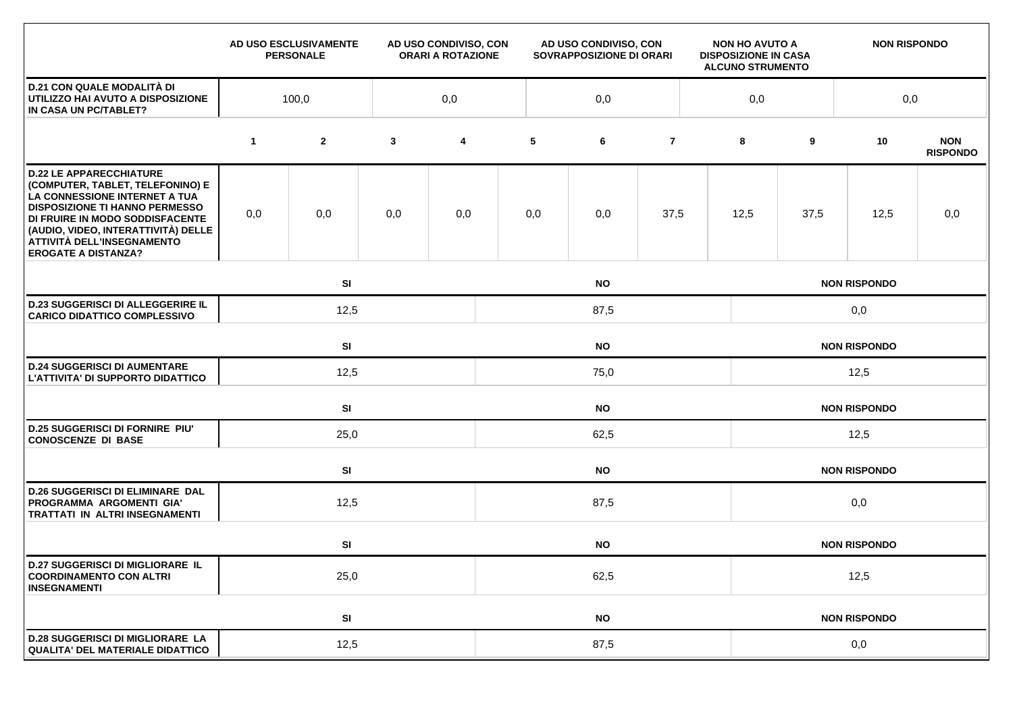|                                                                                                                                                                                                                                                                                    |              | AD USO ESCLUSIVAMENTE<br><b>PERSONALE</b> |              | AD USO CONDIVISO, CON<br><b>ORARI A ROTAZIONE</b> |           | AD USO CONDIVISO, CON<br>SOVRAPPOSIZIONE DI ORARI |                |  | <b>NON HO AVUTO A</b><br><b>DISPOSIZIONE IN CASA</b><br><b>ALCUNO STRUMENTO</b> |                     | <b>NON RISPONDO</b> |                               |  |  |
|------------------------------------------------------------------------------------------------------------------------------------------------------------------------------------------------------------------------------------------------------------------------------------|--------------|-------------------------------------------|--------------|---------------------------------------------------|-----------|---------------------------------------------------|----------------|--|---------------------------------------------------------------------------------|---------------------|---------------------|-------------------------------|--|--|
| <b>D.21 CON QUALE MODALITÀ DI</b><br>UTILIZZO HAI AVUTO A DISPOSIZIONE<br>IN CASA UN PC/TABLET?                                                                                                                                                                                    | 100,0<br>0,0 |                                           |              |                                                   | 0,0       |                                                   |                |  |                                                                                 | 0,0<br>0,0          |                     |                               |  |  |
|                                                                                                                                                                                                                                                                                    | $\mathbf 1$  | $\mathbf{2}$                              | $\mathbf{3}$ | 4                                                 | 5         | 6                                                 | $\overline{7}$ |  | 8                                                                               | 9                   | 10                  | <b>NON</b><br><b>RISPONDO</b> |  |  |
| <b>D.22 LE APPARECCHIATURE</b><br>(COMPUTER, TABLET, TELEFONINO) E<br>LA CONNESSIONE INTERNET A TUA<br><b>DISPOSIZIONE TI HANNO PERMESSO</b><br>DI FRUIRE IN MODO SODDISFACENTE<br>(AUDIO, VIDEO, INTERATTIVITÀ) DELLE<br>ATTIVITÀ DELL'INSEGNAMENTO<br><b>EROGATE A DISTANZA?</b> | 0,0          | 0,0                                       | 0,0          | 0,0                                               | 0,0       | 0,0                                               | 37,5           |  | 12,5                                                                            | 37,5                | 12,5                | 0,0                           |  |  |
|                                                                                                                                                                                                                                                                                    |              | SI                                        |              |                                                   |           | <b>NO</b>                                         |                |  |                                                                                 |                     | <b>NON RISPONDO</b> |                               |  |  |
| <b>D.23 SUGGERISCI DI ALLEGGERIRE IL</b><br><b>CARICO DIDATTICO COMPLESSIVO</b>                                                                                                                                                                                                    |              | 12,5<br>87,5                              |              |                                                   |           |                                                   |                |  | 0,0                                                                             |                     |                     |                               |  |  |
|                                                                                                                                                                                                                                                                                    |              | SI<br><b>NO</b>                           |              |                                                   |           |                                                   |                |  | <b>NON RISPONDO</b>                                                             |                     |                     |                               |  |  |
| <b>D.24 SUGGERISCI DI AUMENTARE</b><br>L'ATTIVITA' DI SUPPORTO DIDATTICO                                                                                                                                                                                                           |              | 12,5                                      |              |                                                   | 75,0      |                                                   |                |  |                                                                                 | 12,5                |                     |                               |  |  |
|                                                                                                                                                                                                                                                                                    |              | SI                                        |              | <b>NO</b>                                         |           |                                                   |                |  |                                                                                 | <b>NON RISPONDO</b> |                     |                               |  |  |
| <b>D.25 SUGGERISCI DI FORNIRE PIU'</b><br><b>CONOSCENZE DI BASE</b>                                                                                                                                                                                                                |              | 25,0                                      |              |                                                   | 62,5      |                                                   |                |  |                                                                                 | 12,5                |                     |                               |  |  |
|                                                                                                                                                                                                                                                                                    |              | SI                                        |              | <b>NO</b>                                         |           |                                                   |                |  |                                                                                 | <b>NON RISPONDO</b> |                     |                               |  |  |
| <b>D.26 SUGGERISCI DI ELIMINARE DAL</b><br>PROGRAMMA ARGOMENTI GIA'<br>TRATTATI IN ALTRI INSEGNAMENTI                                                                                                                                                                              |              | 12,5                                      |              |                                                   | 87,5      |                                                   |                |  |                                                                                 | 0,0                 |                     |                               |  |  |
|                                                                                                                                                                                                                                                                                    |              | SI<br><b>NO</b>                           |              |                                                   |           |                                                   |                |  | <b>NON RISPONDO</b>                                                             |                     |                     |                               |  |  |
| <b>D.27 SUGGERISCI DI MIGLIORARE IL</b><br><b>COORDINAMENTO CON ALTRI</b><br><b>INSEGNAMENTI</b>                                                                                                                                                                                   |              | 25,0                                      |              |                                                   |           | 62,5                                              |                |  |                                                                                 |                     | 12,5                |                               |  |  |
|                                                                                                                                                                                                                                                                                    |              | SI                                        |              |                                                   | <b>NO</b> |                                                   |                |  | <b>NON RISPONDO</b>                                                             |                     |                     |                               |  |  |
| <b>D.28 SUGGERISCI DI MIGLIORARE LA</b><br><b>QUALITA' DEL MATERIALE DIDATTICO</b>                                                                                                                                                                                                 |              | 12,5                                      |              |                                                   | 87,5      |                                                   |                |  |                                                                                 | 0,0                 |                     |                               |  |  |